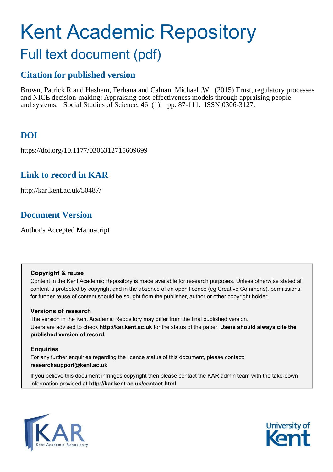# Kent Academic Repository

## Full text document (pdf)

## **Citation for published version**

Brown, Patrick R and Hashem, Ferhana and Calnan, Michael .W. (2015) Trust, regulatory processes and NICE decision-making: Appraising cost-effectiveness models through appraising people and systems. Social Studies of Science, 46 (1). pp. 87-111. ISSN 0306-3127.

## **DOI**

https://doi.org/10.1177/0306312715609699

## **Link to record in KAR**

http://kar.kent.ac.uk/50487/

## **Document Version**

Author's Accepted Manuscript

#### **Copyright & reuse**

Content in the Kent Academic Repository is made available for research purposes. Unless otherwise stated all content is protected by copyright and in the absence of an open licence (eg Creative Commons), permissions for further reuse of content should be sought from the publisher, author or other copyright holder.

#### **Versions of research**

The version in the Kent Academic Repository may differ from the final published version. Users are advised to check **http://kar.kent.ac.uk** for the status of the paper. **Users should always cite the published version of record.**

#### **Enquiries**

For any further enquiries regarding the licence status of this document, please contact: **researchsupport@kent.ac.uk**

If you believe this document infringes copyright then please contact the KAR admin team with the take-down information provided at **http://kar.kent.ac.uk/contact.html**



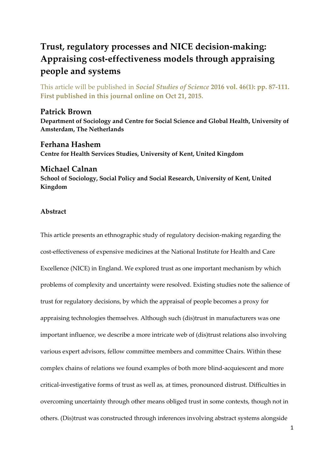## **Trust, regulatory processes and NICE decision-making: Appraising cost-effectiveness models through appraising people and systems**

This article will be published in *Social Studies of Science* **2016 vol. 46(1): pp. 87-111. First published in this journal online on Oct 21, 2015.** 

#### **Patrick Brown**

**Department of Sociology and Centre for Social Science and Global Health, University of Amsterdam, The Netherlands** 

#### **Ferhana Hashem Centre for Health Services Studies, University of Kent, United Kingdom**

#### **Michael Calnan**

**School of Sociology, Social Policy and Social Research, University of Kent, United Kingdom**

#### **Abstract**

This article presents an ethnographic study of regulatory decision-making regarding the cost-effectiveness of expensive medicines at the National Institute for Health and Care Excellence (NICE) in England. We explored trust as one important mechanism by which problems of complexity and uncertainty were resolved. Existing studies note the salience of trust for regulatory decisions, by which the appraisal of people becomes a proxy for appraising technologies themselves. Although such (dis)trust in manufacturers was one important influence, we describe a more intricate web of (dis)trust relations also involving various expert advisors, fellow committee members and committee Chairs. Within these complex chains of relations we found examples of both more blind-acquiescent and more critical-investigative forms of trust as well as*,* at times, pronounced distrust. Difficulties in overcoming uncertainty through other means obliged trust in some contexts, though not in others. (Dis)trust was constructed through inferences involving abstract systems alongside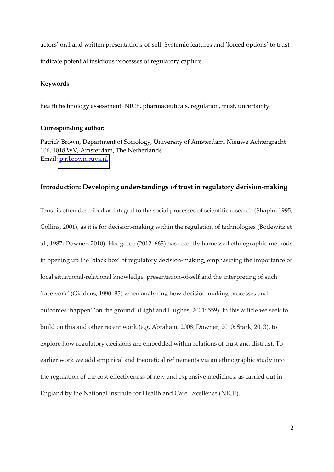actors' oral and written presentations-of-self. Systemic features and 'forced options' to trust indicate potential insidious processes of regulatory capture.

#### **Keywords**

health technology assessment, NICE, pharmaceuticals, regulation, trust, uncertainty

#### **Corresponding author:**

Patrick Brown, Department of Sociology, University of Amsterdam, Nieuwe Achtergracht 166, 1018 WV, Amsterdam, The Netherlands Email: [p.r.brown@uva.nl](mailto:p.r.brown@uva.nl) 

#### **Introduction: Developing understandings of trust in regulatory decision-making**

Trust is often described as integral to the social processes of scientific research (Shapin, 1995; Collins, 2001), as it is for decision-making within the regulation of technologies (Bodewitz et al., 1987; Downer, 2010). Hedgecoe (2012: 663) has recently harnessed ethnographic methods in opening up the 'black box' of regulatory decision-making, emphasizing the importance of local situational-relational knowledge, presentation-of-self and the interpreting of such 'facework' (Giddens, 1990: 85) when analyzing how decision-making processes and outcomes 'happen' 'on the ground' (Light and Hughes, 2001: 559). In this article we seek to build on this and other recent work (e.g. Abraham, 2008; Downer, 2010; Stark, 2013), to explore how regulatory decisions are embedded within relations of trust and distrust. To earlier work we add empirical and theoretical refinements via an ethnographic study into the regulation of the cost-effectiveness of new and expensive medicines, as carried out in England by the National Institute for Health and Care Excellence (NICE).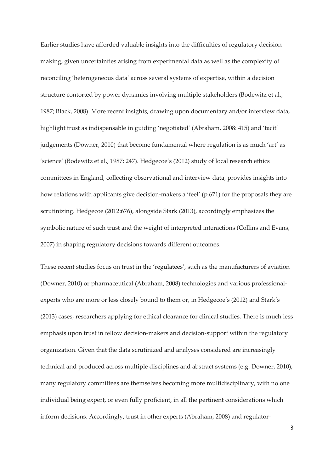Earlier studies have afforded valuable insights into the difficulties of regulatory decisionmaking, given uncertainties arising from experimental data as well as the complexity of reconciling 'heterogeneous data' across several systems of expertise, within a decision structure contorted by power dynamics involving multiple stakeholders (Bodewitz et al., 1987; Black, 2008). More recent insights, drawing upon documentary and/or interview data, highlight trust as indispensable in guiding 'negotiated' (Abraham, 2008: 415) and 'tacit' judgements (Downer, 2010) that become fundamental where regulation is as much 'art' as 'science' (Bodewitz et al., 1987: 247). Hedgecoe's (2012) study of local research ethics committees in England, collecting observational and interview data, provides insights into how relations with applicants give decision-makers a 'feel' (p.671) for the proposals they are scrutinizing. Hedgecoe (2012:676), alongside Stark (2013), accordingly emphasizes the symbolic nature of such trust and the weight of interpreted interactions (Collins and Evans, 2007) in shaping regulatory decisions towards different outcomes.

These recent studies focus on trust in the 'regulatees', such as the manufacturers of aviation (Downer, 2010) or pharmaceutical (Abraham, 2008) technologies and various professionalexperts who are more or less closely bound to them or, in Hedgecoe's (2012) and Stark's (2013) cases, researchers applying for ethical clearance for clinical studies. There is much less emphasis upon trust in fellow decision-makers and decision-support within the regulatory organization. Given that the data scrutinized and analyses considered are increasingly technical and produced across multiple disciplines and abstract systems (e.g. Downer, 2010), many regulatory committees are themselves becoming more multidisciplinary, with no one individual being expert, or even fully proficient, in all the pertinent considerations which inform decisions. Accordingly, trust in other experts (Abraham, 2008) and regulator-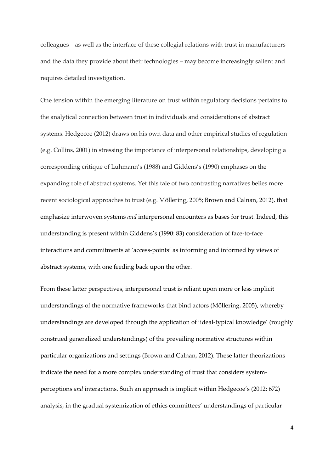colleagues – as well as the interface of these collegial relations with trust in manufacturers and the data they provide about their technologies – may become increasingly salient and requires detailed investigation.

One tension within the emerging literature on trust within regulatory decisions pertains to the analytical connection between trust in individuals and considerations of abstract systems. Hedgecoe (2012) draws on his own data and other empirical studies of regulation (e.g. Collins, 2001) in stressing the importance of interpersonal relationships, developing a corresponding critique of Luhmann's (1988) and Giddens's (1990) emphases on the expanding role of abstract systems. Yet this tale of two contrasting narratives belies more recent sociological approaches to trust (e.g. Möllering, 2005; Brown and Calnan, 2012), that emphasize interwoven systems *and* interpersonal encounters as bases for trust. Indeed, this understanding is present within Giddens's (1990: 83) consideration of face-to-face interactions and commitments at 'access-points' as informing and informed by views of abstract systems, with one feeding back upon the other.

From these latter perspectives, interpersonal trust is reliant upon more or less implicit understandings of the normative frameworks that bind actors (Möllering, 2005), whereby understandings are developed through the application of 'ideal-typical knowledge' (roughly construed generalized understandings) of the prevailing normative structures within particular organizations and settings (Brown and Calnan, 2012). These latter theorizations indicate the need for a more complex understanding of trust that considers systemperceptions *and* interactions. Such an approach is implicit within Hedgecoe's (2012: 672) analysis, in the gradual systemization of ethics committees' understandings of particular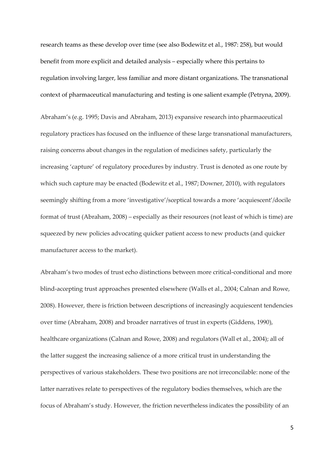research teams as these develop over time (see also Bodewitz et al., 1987: 258), but would benefit from more explicit and detailed analysis – especially where this pertains to regulation involving larger, less familiar and more distant organizations. The transnational context of pharmaceutical manufacturing and testing is one salient example (Petryna, 2009).

Abraham's (e.g. 1995; Davis and Abraham, 2013) expansive research into pharmaceutical regulatory practices has focused on the influence of these large transnational manufacturers, raising concerns about changes in the regulation of medicines safety, particularly the increasing 'capture' of regulatory procedures by industry. Trust is denoted as one route by which such capture may be enacted (Bodewitz et al., 1987; Downer, 2010), with regulators seemingly shifting from a more 'investigative'/sceptical towards a more 'acquiescent'/docile format of trust (Abraham,  $2008$ ) – especially as their resources (not least of which is time) are squeezed by new policies advocating quicker patient access to new products (and quicker manufacturer access to the market).

Abraham's two modes of trust echo distinctions between more critical-conditional and more blind-accepting trust approaches presented elsewhere (Walls et al., 2004; Calnan and Rowe, 2008). However, there is friction between descriptions of increasingly acquiescent tendencies over time (Abraham, 2008) and broader narratives of trust in experts (Giddens, 1990), healthcare organizations (Calnan and Rowe, 2008) and regulators (Wall et al., 2004); all of the latter suggest the increasing salience of a more critical trust in understanding the perspectives of various stakeholders. These two positions are not irreconcilable: none of the latter narratives relate to perspectives of the regulatory bodies themselves, which are the focus of Abraham's study. However, the friction nevertheless indicates the possibility of an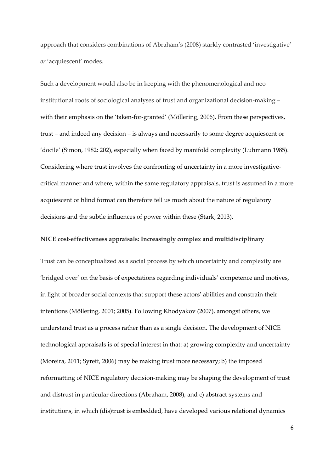approach that considers combinations of Abraham's (2008) starkly contrasted 'investigative' or 'acquiescent' modes.

Such a development would also be in keeping with the phenomenological and neoinstitutional roots of sociological analyses of trust and organizational decision-making with their emphasis on the 'taken-for-granted' (Möllering, 2006). From these perspectives,  $trust - and indeed any decision - is always and necessarily to some degree acquires the error of the corresponding sequence.$ 'docile' (Simon, 1982: 202), especially when faced by manifold complexity (Luhmann 1985). Considering where trust involves the confronting of uncertainty in a more investigativecritical manner and where, within the same regulatory appraisals, trust is assumed in a more acquiescent or blind format can therefore tell us much about the nature of regulatory decisions and the subtle influences of power within these (Stark, 2013).

#### **NICE cost-effectiveness appraisals: Increasingly complex and multidisciplinary**

Trust can be conceptualized as a social process by which uncertainty and complexity are 'bridged over' on the basis of expectations regarding individuals' competence and motives, in light of broader social contexts that support these actors' abilities and constrain their intentions (Möllering, 2001; 2005). Following Khodyakov (2007), amongst others, we understand trust as a process rather than as a single decision. The development of NICE technological appraisals is of special interest in that: a) growing complexity and uncertainty (Moreira, 2011; Syrett, 2006) may be making trust more necessary; b) the imposed reformatting of NICE regulatory decision-making may be shaping the development of trust and distrust in particular directions (Abraham, 2008); and c) abstract systems and institutions, in which (dis)trust is embedded, have developed various relational dynamics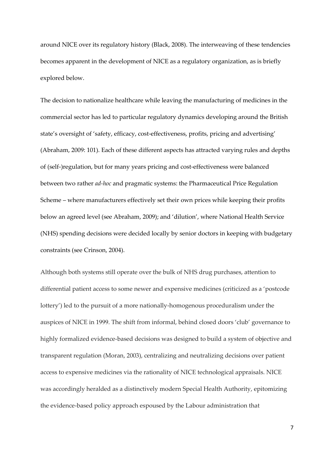around NICE over its regulatory history (Black, 2008). The interweaving of these tendencies becomes apparent in the development of NICE as a regulatory organization, as is briefly explored below.

The decision to nationalize healthcare while leaving the manufacturing of medicines in the commercial sector has led to particular regulatory dynamics developing around the British state's oversight of 'safety, efficacy, cost-effectiveness, profits, pricing and advertising' (Abraham, 2009: 101). Each of these different aspects has attracted varying rules and depths of (self-)regulation, but for many years pricing and cost-effectiveness were balanced between two rather *ad-hoc* and pragmatic systems: the Pharmaceutical Price Regulation Scheme – where manufacturers effectively set their own prices while keeping their profits below an agreed level (see Abraham, 2009); and 'dilution', where National Health Service (NHS) spending decisions were decided locally by senior doctors in keeping with budgetary constraints (see Crinson, 2004).

Although both systems still operate over the bulk of NHS drug purchases, attention to differential patient access to some newer and expensive medicines (criticized as a 'postcode lottery') led to the pursuit of a more nationally-homogenous proceduralism under the auspices of NICE in 1999. The shift from informal, behind closed doors 'club' governance to highly formalized evidence-based decisions was designed to build a system of objective and transparent regulation (Moran, 2003), centralizing and neutralizing decisions over patient access to expensive medicines via the rationality of NICE technological appraisals. NICE was accordingly heralded as a distinctively modern Special Health Authority, epitomizing the evidence-based policy approach espoused by the Labour administration that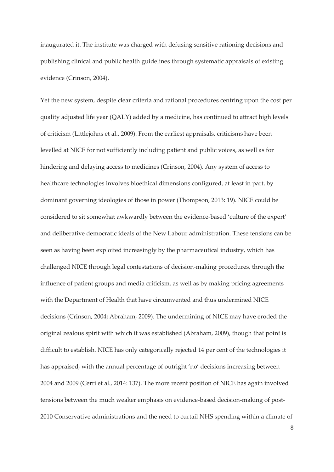inaugurated it. The institute was charged with defusing sensitive rationing decisions and publishing clinical and public health guidelines through systematic appraisals of existing evidence (Crinson, 2004).

Yet the new system, despite clear criteria and rational procedures centring upon the cost per quality adjusted life year (QALY) added by a medicine, has continued to attract high levels of criticism (Littlejohns et al., 2009). From the earliest appraisals, criticisms have been levelled at NICE for not sufficiently including patient and public voices, as well as for hindering and delaying access to medicines (Crinson, 2004). Any system of access to healthcare technologies involves bioethical dimensions configured, at least in part, by dominant governing ideologies of those in power (Thompson, 2013: 19). NICE could be considered to sit somewhat awkwardly between the evidence-based 'culture of the expert' and deliberative democratic ideals of the New Labour administration. These tensions can be seen as having been exploited increasingly by the pharmaceutical industry, which has challenged NICE through legal contestations of decision-making procedures, through the influence of patient groups and media criticism, as well as by making pricing agreements with the Department of Health that have circumvented and thus undermined NICE decisions (Crinson, 2004; Abraham, 2009). The undermining of NICE may have eroded the original zealous spirit with which it was established (Abraham, 2009), though that point is difficult to establish. NICE has only categorically rejected 14 per cent of the technologies it has appraised, with the annual percentage of outright 'no' decisions increasing between 2004 and 2009 (Cerri et al., 2014: 137). The more recent position of NICE has again involved tensions between the much weaker emphasis on evidence-based decision-making of post-2010 Conservative administrations and the need to curtail NHS spending within a climate of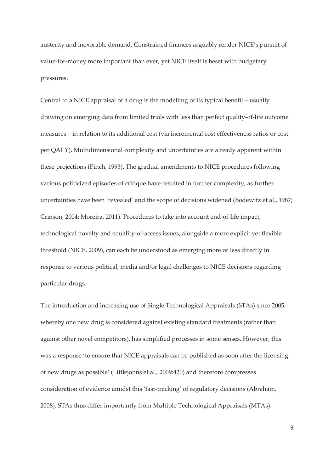austerity and inexorable demand. Constrained finances arguably render NICE's pursuit of value-for-money more important than ever, yet NICE itself is beset with budgetary pressures.

Central to a NICE appraisal of a drug is the modelling of its typical benefit  $-$  usually drawing on emerging data from limited trials with less than perfect quality-of-life outcome measures – in relation to its additional cost (via incremental cost effectiveness ratios or cost per QALY). Multidimensional complexity and uncertainties are already apparent within these projections (Pinch, 1993). The gradual amendments to NICE procedures following various politicized episodes of critique have resulted in further complexity, as further uncertainties have been 'revealed' and the scope of decisions widened (Bodewitz et al., 1987; Crinson, 2004; Moreira, 2011). Procedures to take into account end-of-life impact, technological novelty and equality-of-access issues, alongside a more explicit yet flexible threshold (NICE, 2009), can each be understood as emerging more or less directly in response to various political, media and/or legal challenges to NICE decisions regarding particular drugs.

The introduction and increasing use of Single Technological Appraisals (STAs) since 2005, whereby one new drug is considered against existing standard treatments (rather than against other novel competitors), has simplified processes in some senses. However, this was a response 'to ensure that NICE appraisals can be published as soon after the licensing of new drugs as possible' (Littlejohns et al., 2009:420) and therefore compresses consideration of evidence amidst this 'fast-tracking' of regulatory decisions (Abraham, 2008). STAs thus differ importantly from Multiple Technological Appraisals (MTAs):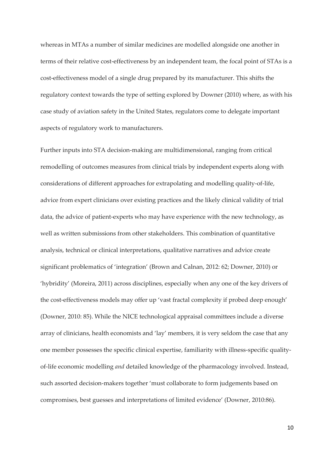whereas in MTAs a number of similar medicines are modelled alongside one another in terms of their relative cost-effectiveness by an independent team, the focal point of STAs is a cost-effectiveness model of a single drug prepared by its manufacturer. This shifts the regulatory context towards the type of setting explored by Downer (2010) where, as with his case study of aviation safety in the United States, regulators come to delegate important aspects of regulatory work to manufacturers.

Further inputs into STA decision-making are multidimensional, ranging from critical remodelling of outcomes measures from clinical trials by independent experts along with considerations of different approaches for extrapolating and modelling quality-of-life, advice from expert clinicians over existing practices and the likely clinical validity of trial data, the advice of patient-experts who may have experience with the new technology, as well as written submissions from other stakeholders. This combination of quantitative analysis, technical or clinical interpretations, qualitative narratives and advice create significant problematics of 'integration' (Brown and Calnan, 2012: 62; Downer, 2010) or 'hybridity' (Moreira, 2011) across disciplines, especially when any one of the key drivers of the cost-effectiveness models may offer up 'vast fractal complexity if probed deep enough' (Downer, 2010: 85). While the NICE technological appraisal committees include a diverse array of clinicians, health economists and 'lay' members, it is very seldom the case that any one member possesses the specific clinical expertise, familiarity with illness-specific qualityof-life economic modelling *and* detailed knowledge of the pharmacology involved. Instead, such assorted decision-makers together 'must collaborate to form judgements based on compromises, best guesses and interpretations of limited evidence' (Downer, 2010:86).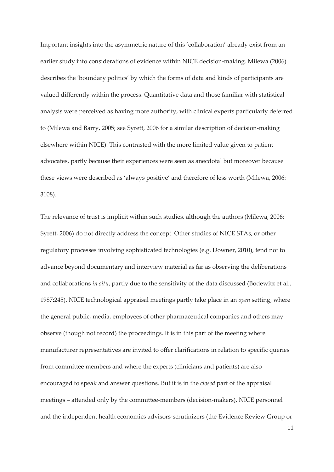Important insights into the asymmetric nature of this 'collaboration' already exist from an earlier study into considerations of evidence within NICE decision-making. Milewa (2006) describes the 'boundary politics' by which the forms of data and kinds of participants are valued differently within the process. Quantitative data and those familiar with statistical analysis were perceived as having more authority, with clinical experts particularly deferred to (Milewa and Barry, 2005; see Syrett, 2006 for a similar description of decision-making elsewhere within NICE). This contrasted with the more limited value given to patient advocates, partly because their experiences were seen as anecdotal but moreover because these views were described as 'always positive' and therefore of less worth (Milewa, 2006: 3108).

The relevance of trust is implicit within such studies, although the authors (Milewa, 2006; Syrett, 2006) do not directly address the concept. Other studies of NICE STAs, or other regulatory processes involving sophisticated technologies (e.g. Downer, 2010), tend not to advance beyond documentary and interview material as far as observing the deliberations and collaborations *in situ*, partly due to the sensitivity of the data discussed (Bodewitz et al., 1987:245). NICE technological appraisal meetings partly take place in an *open* setting, where the general public, media, employees of other pharmaceutical companies and others may observe (though not record) the proceedings. It is in this part of the meeting where manufacturer representatives are invited to offer clarifications in relation to specific queries from committee members and where the experts (clinicians and patients) are also encouraged to speak and answer questions. But it is in the *closed* part of the appraisal meetings - attended only by the committee-members (decision-makers), NICE personnel and the independent health economics advisors-scrutinizers (the Evidence Review Group or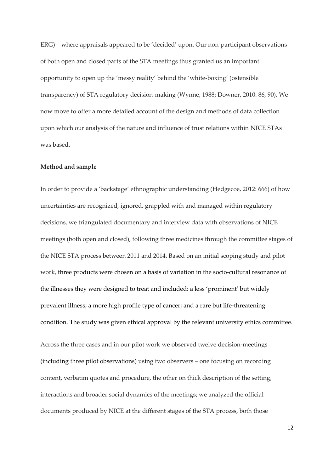ERG) – where appraisals appeared to be 'decided' upon. Our non-participant observations of both open and closed parts of the STA meetings thus granted us an important opportunity to open up the 'messy reality' behind the 'white-boxing' (ostensible transparency) of STA regulatory decision-making (Wynne, 1988; Downer, 2010: 86, 90). We now move to offer a more detailed account of the design and methods of data collection upon which our analysis of the nature and influence of trust relations within NICE STAs was based.

#### **Method and sample**

In order to provide a 'backstage' ethnographic understanding (Hedgecoe, 2012: 666) of how uncertainties are recognized, ignored, grappled with and managed within regulatory decisions, we triangulated documentary and interview data with observations of NICE meetings (both open and closed), following three medicines through the committee stages of the NICE STA process between 2011 and 2014. Based on an initial scoping study and pilot work, three products were chosen on a basis of variation in the socio-cultural resonance of the illnesses they were designed to treat and included: a less 'prominent' but widely prevalent illness; a more high profile type of cancer; and a rare but life-threatening condition. The study was given ethical approval by the relevant university ethics committee.

Across the three cases and in our pilot work we observed twelve decision-meetings (including three pilot observations) using two observers - one focusing on recording content, verbatim quotes and procedure, the other on thick description of the setting, interactions and broader social dynamics of the meetings; we analyzed the official documents produced by NICE at the different stages of the STA process, both those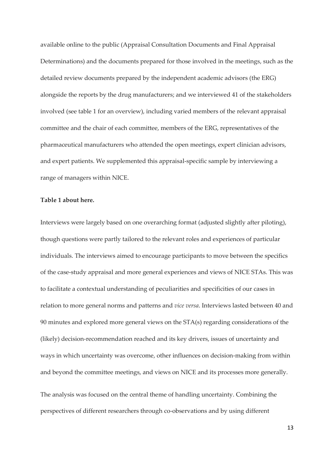available online to the public (Appraisal Consultation Documents and Final Appraisal Determinations) and the documents prepared for those involved in the meetings, such as the detailed review documents prepared by the independent academic advisors (the ERG) alongside the reports by the drug manufacturers; and we interviewed 41 of the stakeholders involved (see table 1 for an overview), including varied members of the relevant appraisal committee and the chair of each committee, members of the ERG, representatives of the pharmaceutical manufacturers who attended the open meetings, expert clinician advisors, and expert patients. We supplemented this appraisal-specific sample by interviewing a range of managers within NICE.

#### **Table 1 about here.**

Interviews were largely based on one overarching format (adjusted slightly after piloting), though questions were partly tailored to the relevant roles and experiences of particular individuals. The interviews aimed to encourage participants to move between the specifics of the case-study appraisal and more general experiences and views of NICE STAs. This was to facilitate a contextual understanding of peculiarities and specificities of our cases in relation to more general norms and patterns and *vice versa*. Interviews lasted between 40 and 90 minutes and explored more general views on the STA(s) regarding considerations of the (likely) decision-recommendation reached and its key drivers, issues of uncertainty and ways in which uncertainty was overcome, other influences on decision-making from within and beyond the committee meetings, and views on NICE and its processes more generally.

The analysis was focused on the central theme of handling uncertainty. Combining the perspectives of different researchers through co-observations and by using different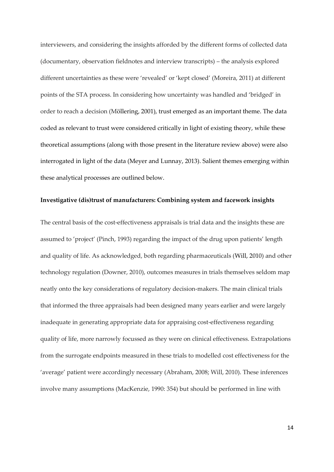interviewers, and considering the insights afforded by the different forms of collected data  $(d$ ocumentary, observation fieldnotes and interview transcripts $)$  – the analysis explored different uncertainties as these were 'revealed' or 'kept closed' (Moreira, 2011) at different points of the STA process. In considering how uncertainty was handled and 'bridged' in order to reach a decision (Möllering, 2001), trust emerged as an important theme. The data coded as relevant to trust were considered critically in light of existing theory, while these theoretical assumptions (along with those present in the literature review above) were also interrogated in light of the data (Meyer and Lunnay, 2013). Salient themes emerging within these analytical processes are outlined below.

#### **Investigative (dis)trust of manufacturers: Combining system and facework insights**

The central basis of the cost-effectiveness appraisals is trial data and the insights these are assumed to 'project' (Pinch, 1993) regarding the impact of the drug upon patients' length and quality of life. As acknowledged, both regarding pharmaceuticals (Will, 2010) and other technology regulation (Downer, 2010), outcomes measures in trials themselves seldom map neatly onto the key considerations of regulatory decision-makers. The main clinical trials that informed the three appraisals had been designed many years earlier and were largely inadequate in generating appropriate data for appraising cost-effectiveness regarding quality of life, more narrowly focussed as they were on clinical effectiveness. Extrapolations from the surrogate endpoints measured in these trials to modelled cost effectiveness for the 'average' patient were accordingly necessary (Abraham, 2008; Will, 2010). These inferences involve many assumptions (MacKenzie, 1990: 354) but should be performed in line with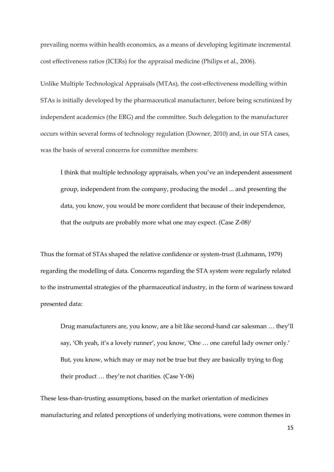prevailing norms within health economics, as a means of developing legitimate incremental cost effectiveness ratios (ICERs) for the appraisal medicine (Philips et al., 2006).

Unlike Multiple Technological Appraisals (MTAs), the cost-effectiveness modelling within STAs is initially developed by the pharmaceutical manufacturer, before being scrutinized by independent academics (the ERG) and the committee. Such delegation to the manufacturer occurs within several forms of technology regulation (Downer, 2010) and, in our STA cases, was the basis of several concerns for committee members:

I think that multiple technology appraisals, when you've an independent assessment group, independent from the company, producing the model ... and presenting the data, you know, you would be more confident that because of their independence, that the outputs are probably more what one may expect. (Case Z-08)<sup>1</sup>

Thus the format of STAs shaped the relative confidence or system-trust (Luhmann, 1979) regarding the modelling of data. Concerns regarding the STA system were regularly related to the instrumental strategies of the pharmaceutical industry, in the form of wariness toward presented data:

Drug manufacturers are, you know, are a bit like second-hand car salesman ... they'll say, 'Oh yeah, it's a lovely runner', you know, 'One ... one careful lady owner only.' But, you know, which may or may not be true but they are basically trying to flog their product  $\ldots$  they're not charities. (Case Y-06)

These less-than-trusting assumptions, based on the market orientation of medicines manufacturing and related perceptions of underlying motivations, were common themes in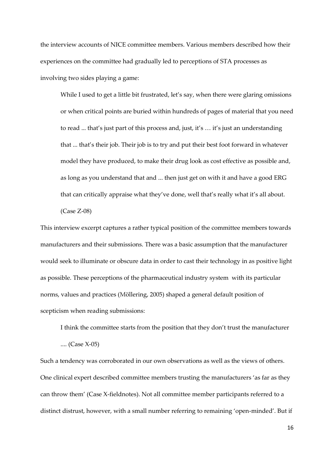the interview accounts of NICE committee members. Various members described how their experiences on the committee had gradually led to perceptions of STA processes as involving two sides playing a game:

While I used to get a little bit frustrated, let's say, when there were glaring omissions or when critical points are buried within hundreds of pages of material that you need to read ... that's just part of this process and, just, it's ... it's just an understanding that ... that's their job. Their job is to try and put their best foot forward in whatever model they have produced, to make their drug look as cost effective as possible and, as long as you understand that and ... then just get on with it and have a good ERG that can critically appraise what they've done, well that's really what it's all about. (Case Z-08)

This interview excerpt captures a rather typical position of the committee members towards manufacturers and their submissions. There was a basic assumption that the manufacturer would seek to illuminate or obscure data in order to cast their technology in as positive light as possible. These perceptions of the pharmaceutical industry system with its particular norms, values and practices (Möllering, 2005) shaped a general default position of scepticism when reading submissions:

I think the committee starts from the position that they don't trust the manufacturer

.... (Case X-05)

Such a tendency was corroborated in our own observations as well as the views of others. One clinical expert described committee members trusting the manufacturers 'as far as they can throw them' (Case X-fieldnotes). Not all committee member participants referred to a distinct distrust, however, with a small number referring to remaining 'open-minded'. But if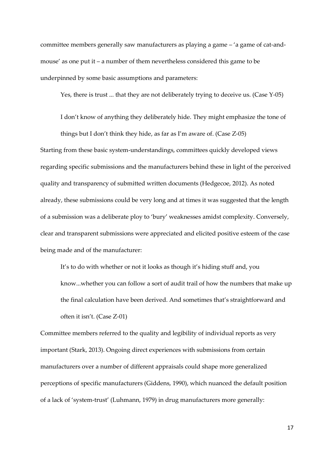committee members generally saw manufacturers as playing a game  $-$  'a game of cat-andmouse' as one put it  $-$  a number of them nevertheless considered this game to be underpinned by some basic assumptions and parameters:

Yes, there is trust ... that they are not deliberately trying to deceive us. (Case Y-05)

I don't know of anything they deliberately hide. They might emphasize the tone of things but I don't think they hide, as far as I'm aware of. (Case  $Z$ -05) Starting from these basic system-understandings, committees quickly developed views regarding specific submissions and the manufacturers behind these in light of the perceived quality and transparency of submitted written documents (Hedgecoe, 2012). As noted already, these submissions could be very long and at times it was suggested that the length of a submission was a deliberate ploy to 'bury' weaknesses amidst complexity. Conversely, clear and transparent submissions were appreciated and elicited positive esteem of the case being made and of the manufacturer:

It's to do with whether or not it looks as though it's hiding stuff and, you know...whether you can follow a sort of audit trail of how the numbers that make up the final calculation have been derived. And sometimes that's straightforward and often it isn't.  $(Case Z-01)$ 

Committee members referred to the quality and legibility of individual reports as very important (Stark, 2013). Ongoing direct experiences with submissions from certain manufacturers over a number of different appraisals could shape more generalized perceptions of specific manufacturers (Giddens, 1990), which nuanced the default position of a lack of 'system-trust' (Luhmann, 1979) in drug manufacturers more generally: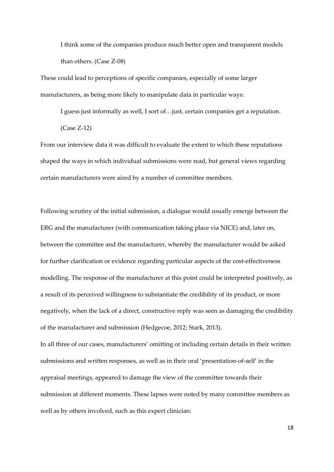I think some of the companies produce much better open and transparent models than others. (Case Z-08)

These could lead to perceptions of specific companies, especially of some larger manufacturers, as being more likely to manipulate data in particular ways:

I guess just informally as well, I sort of...just, certain companies get a reputation. (Case Z-12)

From our interview data it was difficult to evaluate the extent to which these reputations shaped the ways in which individual submissions were read, but general views regarding certain manufacturers were aired by a number of committee members.

Following scrutiny of the initial submission, a dialogue would usually emerge between the ERG and the manufacturer (with communication taking place via NICE) and, later on, between the committee and the manufacturer, whereby the manufacturer would be asked for further clarification or evidence regarding particular aspects of the cost-effectiveness modelling. The response of the manufacturer at this point could be interpreted positively, as a result of its perceived willingness to substantiate the credibility of its product, or more negatively, when the lack of a direct, constructive reply was seen as damaging the credibility of the manufacturer and submission (Hedgecoe, 2012; Stark, 2013).

In all three of our cases, manufacturers' omitting or including certain details in their written submissions and written responses, as well as in their oral 'presentation-of-self' in the appraisal meetings, appeared to damage the view of the committee towards their submission at different moments. These lapses were noted by many committee members as well as by others involved, such as this expert clinician: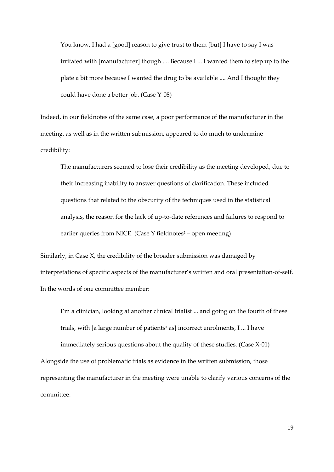You know, I had a [good] reason to give trust to them [but] I have to say I was irritated with [manufacturer] though .... Because I ... I wanted them to step up to the plate a bit more because I wanted the drug to be available .... And I thought they could have done a better job. (Case Y-08)

Indeed, in our fieldnotes of the same case, a poor performance of the manufacturer in the meeting, as well as in the written submission, appeared to do much to undermine credibility:

The manufacturers seemed to lose their credibility as the meeting developed, due to their increasing inability to answer questions of clarification. These included questions that related to the obscurity of the techniques used in the statistical analysis, the reason for the lack of up-to-date references and failures to respond to earlier queries from NICE. (Case Y fieldnotes $2$  – open meeting)

Similarly, in Case X, the credibility of the broader submission was damaged by interpretations of specific aspects of the manufacturer's written and oral presentation-of-self. In the words of one committee member:

I'm a clinician, looking at another clinical trialist ... and going on the fourth of these trials, with [a large number of patients<sup>3</sup> as] incorrect enrolments, I ... I have

immediately serious questions about the quality of these studies. (Case X-01) Alongside the use of problematic trials as evidence in the written submission, those representing the manufacturer in the meeting were unable to clarify various concerns of the committee: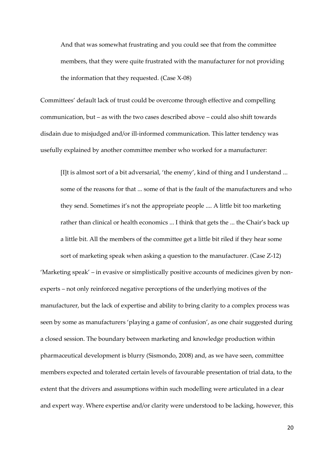And that was somewhat frustrating and you could see that from the committee members, that they were quite frustrated with the manufacturer for not providing the information that they requested. (Case X-08)

Committees' default lack of trust could be overcome through effective and compelling communication, but  $-$  as with the two cases described above  $-$  could also shift towards disdain due to misjudged and/or ill-informed communication. This latter tendency was usefully explained by another committee member who worked for a manufacturer:

[I]t is almost sort of a bit adversarial, 'the enemy', kind of thing and I understand ... some of the reasons for that ... some of that is the fault of the manufacturers and who they send. Sometimes it's not the appropriate people  $\ldots$ . A little bit too marketing rather than clinical or health economics ... I think that gets the ... the Chair's back up a little bit. All the members of the committee get a little bit riled if they hear some

sort of marketing speak when asking a question to the manufacturer. (Case Z-12)

'Marketing speak' – in evasive or simplistically positive accounts of medicines given by nonexperts – not only reinforced negative perceptions of the underlying motives of the manufacturer, but the lack of expertise and ability to bring clarity to a complex process was seen by some as manufacturers 'playing a game of confusion', as one chair suggested during a closed session. The boundary between marketing and knowledge production within pharmaceutical development is blurry (Sismondo, 2008) and, as we have seen, committee members expected and tolerated certain levels of favourable presentation of trial data, to the extent that the drivers and assumptions within such modelling were articulated in a clear and expert way. Where expertise and/or clarity were understood to be lacking, however, this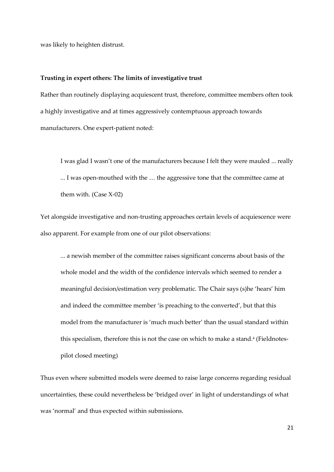was likely to heighten distrust.

#### **Trusting in expert others: The limits of investigative trust**

Rather than routinely displaying acquiescent trust, therefore, committee members often took a highly investigative and at times aggressively contemptuous approach towards manufacturers. One expert-patient noted:

I was glad I wasn't one of the manufacturers because I felt they were mauled ... really ... I was open-mouthed with the ... the aggressive tone that the committee came at them with. (Case X-02)

Yet alongside investigative and non-trusting approaches certain levels of acquiescence were also apparent. For example from one of our pilot observations:

... a newish member of the committee raises significant concerns about basis of the whole model and the width of the confidence intervals which seemed to render a meaningful decision/estimation very problematic. The Chair says (s)he 'hears' him and indeed the committee member 'is preaching to the converted', but that this model from the manufacturer is 'much much better' than the usual standard within this specialism, therefore this is not the case on which to make a stand.<sup>4</sup> (Fieldnotespilot closed meeting)

Thus even where submitted models were deemed to raise large concerns regarding residual uncertainties, these could nevertheless be 'bridged over' in light of understandings of what was 'normal' and thus expected within submissions.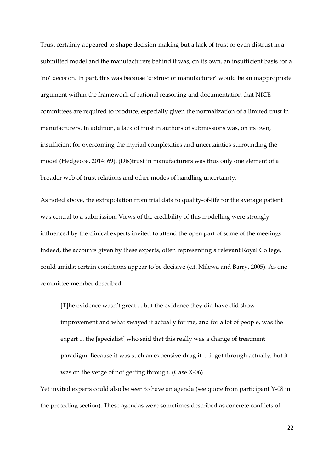Trust certainly appeared to shape decision-making but a lack of trust or even distrust in a submitted model and the manufacturers behind it was, on its own, an insufficient basis for a 'no' decision. In part, this was because 'distrust of manufacturer' would be an inappropriate argument within the framework of rational reasoning and documentation that NICE committees are required to produce, especially given the normalization of a limited trust in manufacturers. In addition, a lack of trust in authors of submissions was, on its own, insufficient for overcoming the myriad complexities and uncertainties surrounding the model (Hedgecoe, 2014: 69). (Dis)trust in manufacturers was thus only one element of a broader web of trust relations and other modes of handling uncertainty.

As noted above, the extrapolation from trial data to quality-of-life for the average patient was central to a submission. Views of the credibility of this modelling were strongly influenced by the clinical experts invited to attend the open part of some of the meetings. Indeed, the accounts given by these experts, often representing a relevant Royal College, could amidst certain conditions appear to be decisive (c.f. Milewa and Barry, 2005). As one committee member described:

[T]he evidence wasn't great ... but the evidence they did have did show improvement and what swayed it actually for me, and for a lot of people, was the expert ... the [specialist] who said that this really was a change of treatment paradigm. Because it was such an expensive drug it ... it got through actually, but it was on the verge of not getting through. (Case X-06)

Yet invited experts could also be seen to have an agenda (see quote from participant Y-08 in the preceding section). These agendas were sometimes described as concrete conflicts of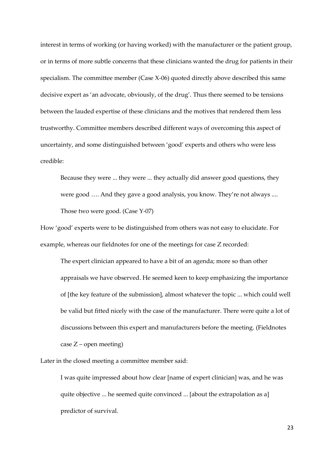interest in terms of working (or having worked) with the manufacturer or the patient group, or in terms of more subtle concerns that these clinicians wanted the drug for patients in their specialism. The committee member (Case X-06) quoted directly above described this same decisive expert as 'an advocate, obviously, of the drug'. Thus there seemed to be tensions between the lauded expertise of these clinicians and the motives that rendered them less trustworthy. Committee members described different ways of overcoming this aspect of uncertainty, and some distinguished between 'good' experts and others who were less credible:

Because they were ... they were ... they actually did answer good questions, they were good .... And they gave a good analysis, you know. They're not always .... Those two were good. (Case Y-07)

How 'good' experts were to be distinguished from others was not easy to elucidate. For example, whereas our fieldnotes for one of the meetings for case Z recorded:

The expert clinician appeared to have a bit of an agenda; more so than other appraisals we have observed. He seemed keen to keep emphasizing the importance of [the key feature of the submission], almost whatever the topic ... which could well be valid but fitted nicely with the case of the manufacturer. There were quite a lot of discussions between this expert and manufacturers before the meeting. (Fieldnotes  $case Z$  – open meeting)

Later in the closed meeting a committee member said:

I was quite impressed about how clear [name of expert clinician] was, and he was quite objective ... he seemed quite convinced ... [about the extrapolation as a] predictor of survival.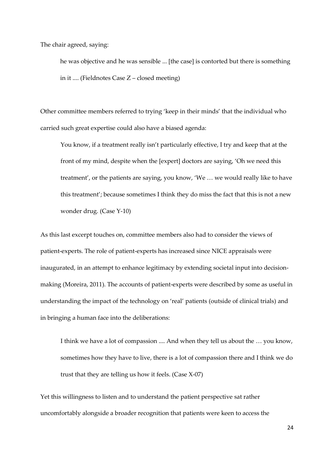The chair agreed, saying:

he was objective and he was sensible ... [the case] is contorted but there is something in it .... (Fieldnotes Case  $Z$  – closed meeting)

Other committee members referred to trying 'keep in their minds' that the individual who carried such great expertise could also have a biased agenda:

You know, if a treatment really isn't particularly effective, I try and keep that at the front of my mind, despite when the [expert] doctors are saying, 'Oh we need this treatment', or the patients are saying, you know, 'We ... we would really like to have this treatment'; because sometimes I think they do miss the fact that this is not a new wonder drug. (Case Y-10)

As this last excerpt touches on, committee members also had to consider the views of patient-experts. The role of patient-experts has increased since NICE appraisals were inaugurated, in an attempt to enhance legitimacy by extending societal input into decisionmaking (Moreira, 2011). The accounts of patient-experts were described by some as useful in understanding the impact of the technology on 'real' patients (outside of clinical trials) and in bringing a human face into the deliberations:

I think we have a lot of compassion .... And when they tell us about the ... you know, sometimes how they have to live, there is a lot of compassion there and I think we do trust that they are telling us how it feels. (Case X-07)

Yet this willingness to listen and to understand the patient perspective sat rather uncomfortably alongside a broader recognition that patients were keen to access the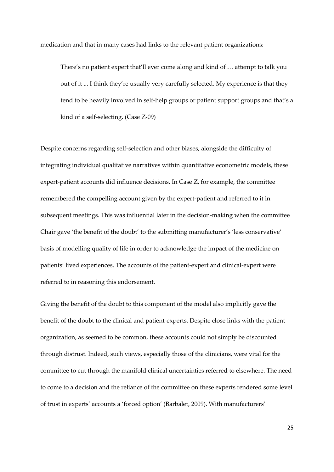medication and that in many cases had links to the relevant patient organizations:

There's no patient expert that'll ever come along and kind of  $\ldots$  attempt to talk you out of it ... I think they're usually very carefully selected. My experience is that they tend to be heavily involved in self-help groups or patient support groups and that's a kind of a self-selecting. (Case Z-09)

Despite concerns regarding self-selection and other biases, alongside the difficulty of integrating individual qualitative narratives within quantitative econometric models, these expert-patient accounts did influence decisions. In Case Z, for example, the committee remembered the compelling account given by the expert-patient and referred to it in subsequent meetings. This was influential later in the decision-making when the committee Chair gave 'the benefit of the doubt' to the submitting manufacturer's 'less conservative' basis of modelling quality of life in order to acknowledge the impact of the medicine on patients' lived experiences. The accounts of the patient-expert and clinical-expert were referred to in reasoning this endorsement.

Giving the benefit of the doubt to this component of the model also implicitly gave the benefit of the doubt to the clinical and patient-experts. Despite close links with the patient organization, as seemed to be common, these accounts could not simply be discounted through distrust. Indeed, such views, especially those of the clinicians, were vital for the committee to cut through the manifold clinical uncertainties referred to elsewhere. The need to come to a decision and the reliance of the committee on these experts rendered some level of trust in experts' accounts a 'forced option' (Barbalet, 2009). With manufacturers'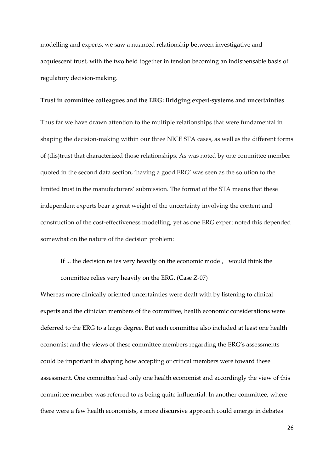modelling and experts, we saw a nuanced relationship between investigative and acquiescent trust, with the two held together in tension becoming an indispensable basis of regulatory decision-making.

#### **Trust in committee colleagues and the ERG: Bridging expert-systems and uncertainties**

Thus far we have drawn attention to the multiple relationships that were fundamental in shaping the decision-making within our three NICE STA cases, as well as the different forms of (dis)trust that characterized those relationships. As was noted by one committee member quoted in the second data section, 'having a good ERG' was seen as the solution to the limited trust in the manufacturers' submission. The format of the STA means that these independent experts bear a great weight of the uncertainty involving the content and construction of the cost-effectiveness modelling, yet as one ERG expert noted this depended somewhat on the nature of the decision problem:

If ... the decision relies very heavily on the economic model, I would think the committee relies very heavily on the ERG. (Case Z-07)

Whereas more clinically oriented uncertainties were dealt with by listening to clinical experts and the clinician members of the committee, health economic considerations were deferred to the ERG to a large degree. But each committee also included at least one health economist and the views of these committee members regarding the ERG's assessments could be important in shaping how accepting or critical members were toward these assessment. One committee had only one health economist and accordingly the view of this committee member was referred to as being quite influential. In another committee, where there were a few health economists, a more discursive approach could emerge in debates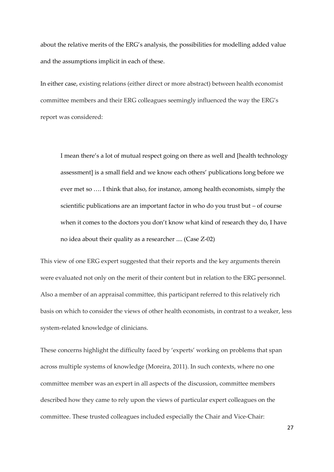about the relative merits of the ERG's analysis, the possibilities for modelling added value and the assumptions implicit in each of these.

In either case, existing relations (either direct or more abstract) between health economist committee members and their ERG colleagues seemingly influenced the way the ERG's report was considered:

I mean there's a lot of mutual respect going on there as well and [health technology assessment] is a small field and we know each others' publications long before we ever met so .... I think that also, for instance, among health economists, simply the scientific publications are an important factor in who do you trust but  $-$  of course when it comes to the doctors you don't know what kind of research they do, I have no idea about their quality as a researcher .... (Case Z-02)

This view of one ERG expert suggested that their reports and the key arguments therein were evaluated not only on the merit of their content but in relation to the ERG personnel. Also a member of an appraisal committee, this participant referred to this relatively rich basis on which to consider the views of other health economists, in contrast to a weaker, less system-related knowledge of clinicians.

These concerns highlight the difficulty faced by 'experts' working on problems that span across multiple systems of knowledge (Moreira, 2011). In such contexts, where no one committee member was an expert in all aspects of the discussion, committee members described how they came to rely upon the views of particular expert colleagues on the committee. These trusted colleagues included especially the Chair and Vice-Chair: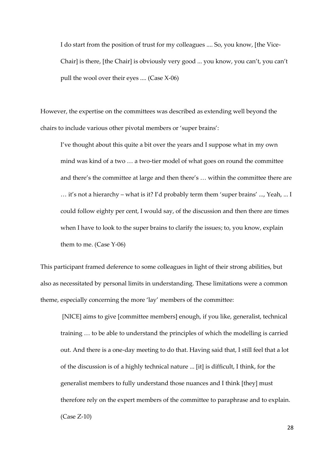I do start from the position of trust for my colleagues .... So, you know, [the Vice-Chair] is there, [the Chair] is obviously very good ... you know, you can't, you can't pull the wool over their eyes .... (Case X-06)

However, the expertise on the committees was described as extending well beyond the chairs to include various other pivotal members or 'super brains':

I've thought about this quite a bit over the years and I suppose what in my own mind was kind of a two  $\ldots$  a two-tier model of what goes on round the committee and there's the committee at large and then there's ... within the committee there are  $\ldots$  it's not a hierarchy – what is it? I'd probably term them 'super brains' ..., Yeah, ... I could follow eighty per cent, I would say, of the discussion and then there are times when I have to look to the super brains to clarify the issues; to, you know, explain them to me. (Case Y-06)

This participant framed deference to some colleagues in light of their strong abilities, but also as necessitated by personal limits in understanding. These limitations were a common theme, especially concerning the more 'lay' members of the committee:

 [NICE] aims to give [committee members] enough, if you like, generalist, technical training ... to be able to understand the principles of which the modelling is carried out. And there is a one-day meeting to do that. Having said that, I still feel that a lot of the discussion is of a highly technical nature ... [it] is difficult, I think, for the generalist members to fully understand those nuances and I think [they] must therefore rely on the expert members of the committee to paraphrase and to explain. (Case Z-10)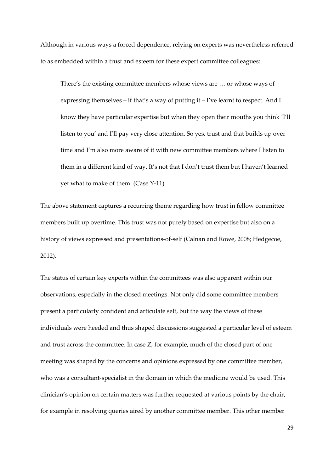Although in various ways a forced dependence, relying on experts was nevertheless referred to as embedded within a trust and esteem for these expert committee colleagues:

There's the existing committee members whose views are ... or whose ways of expressing themselves  $-$  if that's a way of putting it  $-$  I've learnt to respect. And I know they have particular expertise but when they open their mouths you think 'I'll listen to you' and I'll pay very close attention. So yes, trust and that builds up over time and I'm also more aware of it with new committee members where I listen to them in a different kind of way. It's not that I don't trust them but I haven't learned yet what to make of them. (Case Y-11)

The above statement captures a recurring theme regarding how trust in fellow committee members built up overtime. This trust was not purely based on expertise but also on a history of views expressed and presentations-of-self (Calnan and Rowe, 2008; Hedgecoe, 2012).

The status of certain key experts within the committees was also apparent within our observations, especially in the closed meetings. Not only did some committee members present a particularly confident and articulate self, but the way the views of these individuals were heeded and thus shaped discussions suggested a particular level of esteem and trust across the committee. In case Z, for example, much of the closed part of one meeting was shaped by the concerns and opinions expressed by one committee member, who was a consultant-specialist in the domain in which the medicine would be used. This clinician's opinion on certain matters was further requested at various points by the chair, for example in resolving queries aired by another committee member. This other member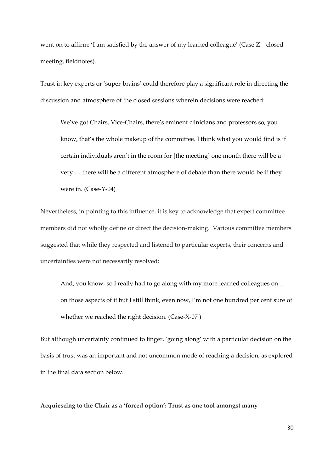went on to affirm: 'I am satisfied by the answer of my learned colleague' (Case  $Z$  – closed meeting, fieldnotes).

Trust in key experts or 'super-brains' could therefore play a significant role in directing the discussion and atmosphere of the closed sessions wherein decisions were reached:

We've got Chairs, Vice-Chairs, there's eminent clinicians and professors so, you know, that's the whole makeup of the committee. I think what you would find is if certain individuals aren't in the room for [the meeting] one month there will be a very ... there will be a different atmosphere of debate than there would be if they were in. (Case-Y-04)

Nevertheless, in pointing to this influence, it is key to acknowledge that expert committee members did not wholly define or direct the decision-making. Various committee members suggested that while they respected and listened to particular experts, their concerns and uncertainties were not necessarily resolved:

And, you know, so I really had to go along with my more learned colleagues on ... on those aspects of it but I still think, even now, I'm not one hundred per cent sure of whether we reached the right decision. (Case-X-07 )

But although uncertainty continued to linger, 'going along' with a particular decision on the basis of trust was an important and not uncommon mode of reaching a decision, as explored in the final data section below*.* 

Acquiescing to the Chair as a 'forced option': Trust as one tool amongst many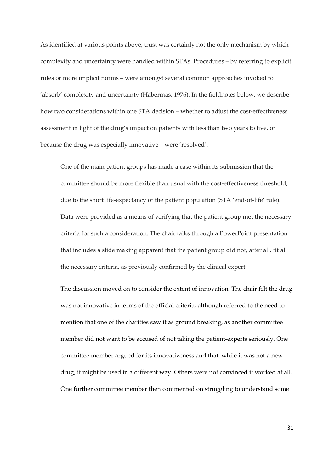As identified at various points above, trust was certainly not the only mechanism by which complexity and uncertainty were handled within STAs. Procedures - by referring to explicit rules or more implicit norms – were amongst several common approaches invoked to 'absorb' complexity and uncertainty (Habermas, 1976). In the fieldnotes below, we describe how two considerations within one STA decision – whether to adjust the cost-effectiveness assessment in light of the drug's impact on patients with less than two years to live, or because the drug was especially innovative – were 'resolved':

One of the main patient groups has made a case within its submission that the committee should be more flexible than usual with the cost-effectiveness threshold, due to the short life-expectancy of the patient population (STA 'end-of-life' rule). Data were provided as a means of verifying that the patient group met the necessary criteria for such a consideration. The chair talks through a PowerPoint presentation that includes a slide making apparent that the patient group did not, after all, fit all the necessary criteria, as previously confirmed by the clinical expert.

The discussion moved on to consider the extent of innovation. The chair felt the drug was not innovative in terms of the official criteria, although referred to the need to mention that one of the charities saw it as ground breaking, as another committee member did not want to be accused of not taking the patient-experts seriously. One committee member argued for its innovativeness and that, while it was not a new drug, it might be used in a different way. Others were not convinced it worked at all. One further committee member then commented on struggling to understand some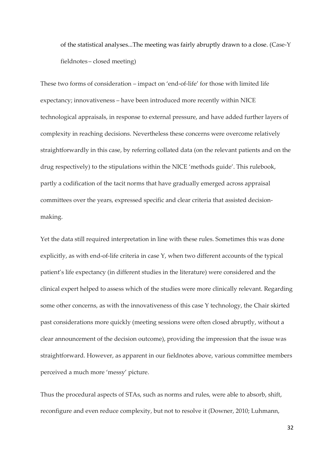of the statistical analyses...The meeting was fairly abruptly drawn to a close. (Case-Y fieldnotes – closed meeting)

These two forms of consideration – impact on 'end-of-life' for those with limited life expectancy; innovativeness - have been introduced more recently within NICE technological appraisals, in response to external pressure, and have added further layers of complexity in reaching decisions. Nevertheless these concerns were overcome relatively straightforwardly in this case, by referring collated data (on the relevant patients and on the drug respectively) to the stipulations within the NICE 'methods guide'. This rulebook, partly a codification of the tacit norms that have gradually emerged across appraisal committees over the years, expressed specific and clear criteria that assisted decisionmaking.

Yet the data still required interpretation in line with these rules. Sometimes this was done explicitly, as with end-of-life criteria in case Y, when two different accounts of the typical patient's life expectancy (in different studies in the literature) were considered and the clinical expert helped to assess which of the studies were more clinically relevant. Regarding some other concerns, as with the innovativeness of this case Y technology, the Chair skirted past considerations more quickly (meeting sessions were often closed abruptly, without a clear announcement of the decision outcome), providing the impression that the issue was straightforward. However, as apparent in our fieldnotes above, various committee members perceived a much more 'messy' picture.

Thus the procedural aspects of STAs, such as norms and rules, were able to absorb, shift, reconfigure and even reduce complexity, but not to resolve it (Downer, 2010; Luhmann,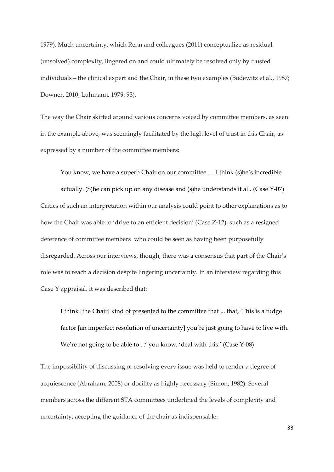1979). Much uncertainty, which Renn and colleagues (2011) conceptualize as residual (unsolved) complexity, lingered on and could ultimately be resolved only by trusted individuals – the clinical expert and the Chair, in these two examples (Bodewitz et al., 1987; Downer, 2010; Luhmann, 1979: 93).

The way the Chair skirted around various concerns voiced by committee members, as seen in the example above, was seemingly facilitated by the high level of trust in this Chair, as expressed by a number of the committee members:

You know, we have a superb Chair on our committee .... I think (s)he's incredible actually. (S)he can pick up on any disease and (s)he understands it all. (Case Y-07) Critics of such an interpretation within our analysis could point to other explanations as to how the Chair was able to 'drive to an efficient decision' (Case Z-12), such as a resigned deference of committee members who could be seen as having been purposefully disregarded. Across our interviews, though, there was a consensus that part of the Chair's role was to reach a decision despite lingering uncertainty. In an interview regarding this Case Y appraisal, it was described that:

I think [the Chair] kind of presented to the committee that ... that, 'This is a fudge factor [an imperfect resolution of uncertainty] you're just going to have to live with. We're not going to be able to ...' you know, 'deal with this.' (Case Y-08)

The impossibility of discussing or resolving every issue was held to render a degree of acquiescence (Abraham, 2008) or docility as highly necessary (Simon, 1982). Several members across the different STA committees underlined the levels of complexity and uncertainty, accepting the guidance of the chair as indispensable: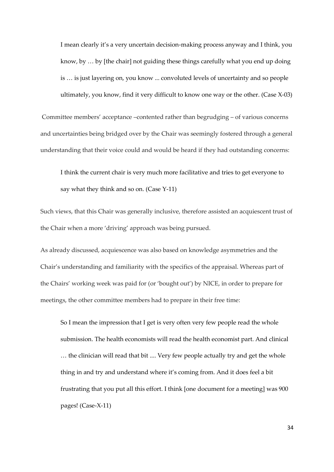I mean clearly it's a very uncertain decision-making process anyway and I think, you know, by  $\ldots$  by [the chair] not guiding these things carefully what you end up doing is ... is just layering on, you know ... convoluted levels of uncertainty and so people ultimately, you know, find it very difficult to know one way or the other. (Case X-03)

Committee members' acceptance -contented rather than begrudging - of various concerns and uncertainties being bridged over by the Chair was seemingly fostered through a general understanding that their voice could and would be heard if they had outstanding concerns:

I think the current chair is very much more facilitative and tries to get everyone to say what they think and so on. (Case Y-11)

Such views, that this Chair was generally inclusive, therefore assisted an acquiescent trust of the Chair when a more 'driving' approach was being pursued.

As already discussed, acquiescence was also based on knowledge asymmetries and the Chair's understanding and familiarity with the specifics of the appraisal. Whereas part of the Chairs' working week was paid for (or 'bought out') by NICE, in order to prepare for meetings, the other committee members had to prepare in their free time:

So I mean the impression that I get is very often very few people read the whole submission. The health economists will read the health economist part. And clinical ... the clinician will read that bit .... Very few people actually try and get the whole thing in and try and understand where it's coming from. And it does feel a bit frustrating that you put all this effort. I think [one document for a meeting] was 900 pages! (Case-X-11)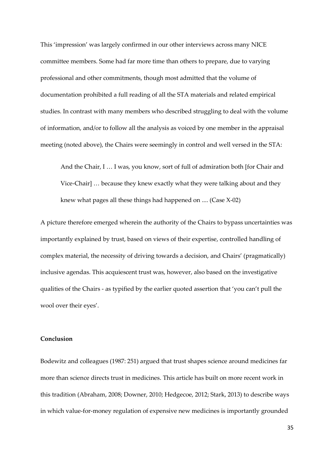This 'impression' was largely confirmed in our other interviews across many NICE committee members. Some had far more time than others to prepare, due to varying professional and other commitments, though most admitted that the volume of documentation prohibited a full reading of all the STA materials and related empirical studies. In contrast with many members who described struggling to deal with the volume of information, and/or to follow all the analysis as voiced by one member in the appraisal meeting (noted above), the Chairs were seemingly in control and well versed in the STA:

And the Chair, I ... I was, you know, sort of full of admiration both [for Chair and Vice-Chair] ... because they knew exactly what they were talking about and they knew what pages all these things had happened on .... (Case X-02)

A picture therefore emerged wherein the authority of the Chairs to bypass uncertainties was importantly explained by trust, based on views of their expertise, controlled handling of complex material, the necessity of driving towards a decision, and Chairs' (pragmatically) inclusive agendas. This acquiescent trust was, however, also based on the investigative qualities of the Chairs - as typified by the earlier quoted assertion that 'you can't pull the wool over their eyes'.

#### **Conclusion**

Bodewitz and colleagues (1987: 251) argued that trust shapes science around medicines far more than science directs trust in medicines. This article has built on more recent work in this tradition (Abraham, 2008; Downer, 2010; Hedgecoe, 2012; Stark, 2013) to describe ways in which value-for-money regulation of expensive new medicines is importantly grounded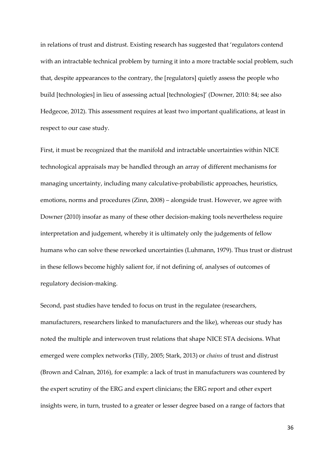in relations of trust and distrust. Existing research has suggested that 'regulators contend with an intractable technical problem by turning it into a more tractable social problem, such that, despite appearances to the contrary, the [regulators] quietly assess the people who build [technologies] in lieu of assessing actual [technologies]' (Downer, 2010: 84; see also Hedgecoe, 2012). This assessment requires at least two important qualifications, at least in respect to our case study.

First, it must be recognized that the manifold and intractable uncertainties within NICE technological appraisals may be handled through an array of different mechanisms for managing uncertainty, including many calculative-probabilistic approaches, heuristics, emotions, norms and procedures  $(Zinn, 2008)$  – alongside trust. However, we agree with Downer (2010) insofar as many of these other decision-making tools nevertheless require interpretation and judgement, whereby it is ultimately only the judgements of fellow humans who can solve these reworked uncertainties (Luhmann, 1979). Thus trust or distrust in these fellows become highly salient for, if not defining of, analyses of outcomes of regulatory decision-making.

Second, past studies have tended to focus on trust in the regulatee (researchers, manufacturers, researchers linked to manufacturers and the like), whereas our study has noted the multiple and interwoven trust relations that shape NICE STA decisions. What emerged were complex networks (Tilly, 2005; Stark, 2013) or *chains* of trust and distrust (Brown and Calnan, 2016), for example: a lack of trust in manufacturers was countered by the expert scrutiny of the ERG and expert clinicians; the ERG report and other expert insights were, in turn, trusted to a greater or lesser degree based on a range of factors that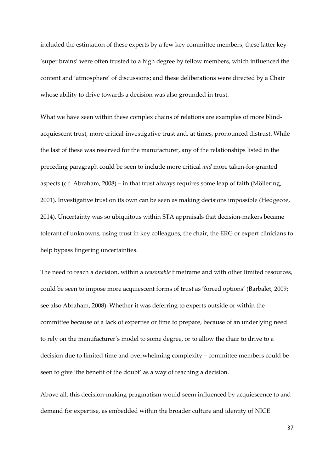included the estimation of these experts by a few key committee members; these latter key 'super brains' were often trusted to a high degree by fellow members, which influenced the content and 'atmosphere' of discussions; and these deliberations were directed by a Chair whose ability to drive towards a decision was also grounded in trust.

What we have seen within these complex chains of relations are examples of more blindacquiescent trust, more critical-investigative trust and*,* at times, pronounced distrust. While the last of these was reserved for the manufacturer, any of the relationships listed in the preceding paragraph could be seen to include more critical *and* more taken-for-granted aspects (c.f. Abraham,  $2008$ ) – in that trust always requires some leap of faith (Möllering, 2001). Investigative trust on its own can be seen as making decisions impossible (Hedgecoe, 2014). Uncertainty was so ubiquitous within STA appraisals that decision-makers became tolerant of unknowns, using trust in key colleagues, the chair, the ERG or expert clinicians to help bypass lingering uncertainties.

The need to reach a decision, within a *reasonable* timeframe and with other limited resources, could be seen to impose more acquiescent forms of trust as 'forced options' (Barbalet, 2009; see also Abraham, 2008). Whether it was deferring to experts outside or within the committee because of a lack of expertise or time to prepare, because of an underlying need to rely on the manufacturer's model to some degree, or to allow the chair to drive to a decision due to limited time and overwhelming complexity – committee members could be seen to give 'the benefit of the doubt' as a way of reaching a decision.

Above all, this decision-making pragmatism would seem influenced by acquiescence to and demand for expertise, as embedded within the broader culture and identity of NICE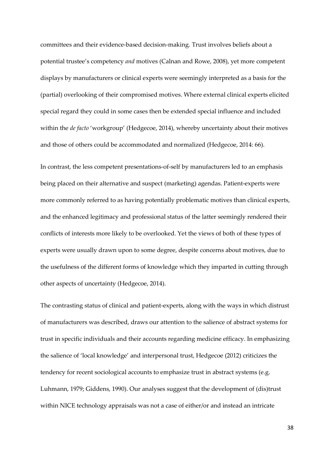committees and their evidence-based decision-making. Trust involves beliefs about a potential trustee's competency *and* motives (Calnan and Rowe, 2008), yet more competent displays by manufacturers or clinical experts were seemingly interpreted as a basis for the (partial) overlooking of their compromised motives. Where external clinical experts elicited special regard they could in some cases then be extended special influence and included within the *de facto* 'workgroup' (Hedgecoe, 2014), whereby uncertainty about their motives and those of others could be accommodated and normalized (Hedgecoe, 2014: 66).

In contrast, the less competent presentations-of-self by manufacturers led to an emphasis being placed on their alternative and suspect (marketing) agendas. Patient-experts were more commonly referred to as having potentially problematic motives than clinical experts, and the enhanced legitimacy and professional status of the latter seemingly rendered their conflicts of interests more likely to be overlooked. Yet the views of both of these types of experts were usually drawn upon to some degree, despite concerns about motives, due to the usefulness of the different forms of knowledge which they imparted in cutting through other aspects of uncertainty (Hedgecoe, 2014).

The contrasting status of clinical and patient-experts, along with the ways in which distrust of manufacturers was described, draws our attention to the salience of abstract systems for trust in specific individuals and their accounts regarding medicine efficacy. In emphasizing the salience of 'local knowledge' and interpersonal trust, Hedgecoe (2012) criticizes the tendency for recent sociological accounts to emphasize trust in abstract systems (e.g. Luhmann, 1979; Giddens, 1990). Our analyses suggest that the development of (dis)trust within NICE technology appraisals was not a case of either/or and instead an intricate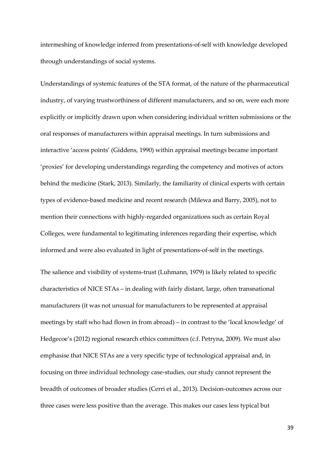intermeshing of knowledge inferred from presentations-of-self with knowledge developed through understandings of social systems.

Understandings of systemic features of the STA format, of the nature of the pharmaceutical industry, of varying trustworthiness of different manufacturers, and so on, were each more explicitly or implicitly drawn upon when considering individual written submissions or the oral responses of manufacturers within appraisal meetings. In turn submissions and interactive 'access points' (Giddens, 1990) within appraisal meetings became important 'proxies' for developing understandings regarding the competency and motives of actors behind the medicine (Stark, 2013). Similarly, the familiarity of clinical experts with certain types of evidence-based medicine and recent research (Milewa and Barry, 2005), not to mention their connections with highly-regarded organizations such as certain Royal Colleges, were fundamental to legitimating inferences regarding their expertise, which informed and were also evaluated in light of presentations-of-self in the meetings.

The salience and visibility of systems-trust (Luhmann, 1979) is likely related to specific characteristics of NICE STAs - in dealing with fairly distant, large, often transnational manufacturers (it was not unusual for manufacturers to be represented at appraisal meetings by staff who had flown in from abroad) – in contrast to the 'local knowledge' of Hedgecoe's (2012) regional research ethics committees (c.f. Petryna, 2009). We must also emphasise that NICE STAs are a very specific type of technological appraisal and, in focusing on three individual technology case-studies, our study cannot represent the breadth of outcomes of broader studies (Cerri et al., 2013). Decision-outcomes across our three cases were less positive than the average. This makes our cases less typical but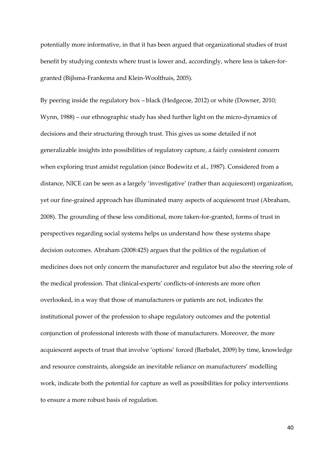potentially more informative, in that it has been argued that organizational studies of trust benefit by studying contexts where trust is lower and, accordingly, where less is taken-forgranted (Bijlsma-Frankema and Klein-Woolthuis, 2005).

By peering inside the regulatory box  $-$  black (Hedgecoe, 2012) or white (Downer, 2010; Wynn, 1988) – our ethnographic study has shed further light on the micro-dynamics of decisions and their structuring through trust. This gives us some detailed if not generalizable insights into possibilities of regulatory capture, a fairly consistent concern when exploring trust amidst regulation (since Bodewitz et al., 1987). Considered from a distance, NICE can be seen as a largely 'investigative' (rather than acquiescent) organization, yet our fine-grained approach has illuminated many aspects of acquiescent trust (Abraham, 2008). The grounding of these less conditional, more taken-for-granted, forms of trust in perspectives regarding social systems helps us understand how these systems shape decision outcomes. Abraham (2008:425) argues that the politics of the regulation of medicines does not only concern the manufacturer and regulator but also the steering role of the medical profession. That clinical-experts' conflicts-of-interests are more often overlooked, in a way that those of manufacturers or patients are not, indicates the institutional power of the profession to shape regulatory outcomes and the potential conjunction of professional interests with those of manufacturers. Moreover, the more acquiescent aspects of trust that involve 'options' forced (Barbalet, 2009) by time, knowledge and resource constraints, alongside an inevitable reliance on manufacturers' modelling work, indicate both the potential for capture as well as possibilities for policy interventions to ensure a more robust basis of regulation.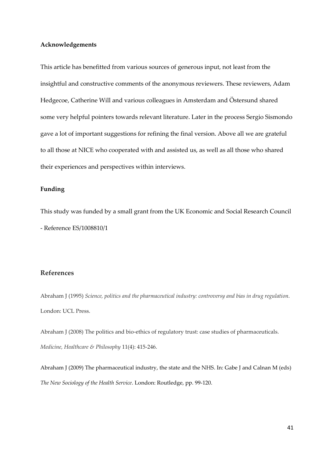#### **Acknowledgements**

This article has benefitted from various sources of generous input, not least from the insightful and constructive comments of the anonymous reviewers. These reviewers, Adam Hedgecoe, Catherine Will and various colleagues in Amsterdam and Östersund shared some very helpful pointers towards relevant literature. Later in the process Sergio Sismondo gave a lot of important suggestions for refining the final version. Above all we are grateful to all those at NICE who cooperated with and assisted us, as well as all those who shared their experiences and perspectives within interviews.

#### **Funding**

This study was funded by a small grant from the UK Economic and Social Research Council - Reference ES/1008810/1

#### **References**

Abraham J (1995) *Science, politics and the pharmaceutical industry: controversy and bias in drug regulation*. London: UCL Press.

Abraham J (2008) The politics and bio-ethics of regulatory trust: case studies of pharmaceuticals. *Medicine, Healthcare & Philosophy* 11(4): 415-246.

Abraham J (2009) The pharmaceutical industry, the state and the NHS. In: Gabe J and Calnan M (eds) *The New Sociology of the Health Service*. London: Routledge, pp. 99-120.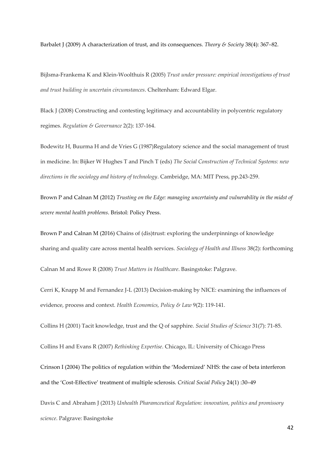Barbalet J (2009) A characterization of trust, and its consequences. *Theory & Society* 38(4): 367–82.

Bijlsma-Frankema K and Klein-Woolthuis R (2005) *Trust under pressure: empirical investigations of trust and trust building in uncertain circumstances*. Cheltenham: Edward Elgar.

Black J (2008) Constructing and contesting legitimacy and accountability in polycentric regulatory regimes. *Regulation & Governance* 2(2): 137-164.

Bodewitz H, Buurma H and de Vries G (1987)Regulatory science and the social management of trust in medicine. In: Bijker W Hughes T and Pinch T (eds) *The Social Construction of Technical Systems: new directions in the sociology and history of technology*. Cambridge, MA: MIT Press, pp.243-259.

Brown P and Calnan M (2012) *Trusting on the Edge: managing uncertainty and vulnerability in the midst of severe mental health problems*. Bristol: Policy Press.

Brown P and Calnan M (2016) Chains of (dis)trust: exploring the underpinnings of knowledge sharing and quality care across mental health services. *Sociology of Health and Illness* 38(2): forthcoming

Calnan M and Rowe R (2008) *Trust Matters in Healthcare*. Basingstoke: Palgrave.

Cerri K, Knapp M and Fernandez J-L (2013) Decision-making by NICE: examining the influences of evidence, process and context. *Health Economics, Policy & Law* 9(2): 119-141.

Collins H (2001) Tacit knowledge, trust and the Q of sapphire. *Social Studies of Science* 31(7): 71-85.

Collins H and Evans R (2007) *Rethinking Expertise*. Chicago, IL: University of Chicago Press

Crinson I (2004) The politics of regulation within the 'Modernized' NHS: the case of beta interferon and the 'Cost-Effective' treatment of multiple sclerosis. Critical Social Policy 24(1) :30-49

Davis C and Abraham J (2013) *Unhealth Pharamceutical Regulation: innovation, politics and promissory science*. Palgrave: Basingstoke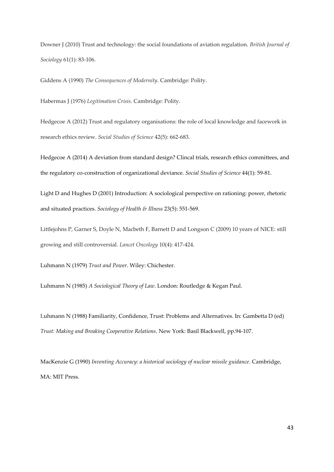Downer J (2010) Trust and technology: the social foundations of aviation regulation. *British Journal of Sociology* 61(1): 83-106.

Giddens A (1990) *The Consequences of Modernity*. Cambridge: Polity.

Habermas J (1976) *Legitimation Crisis*. Cambridge: Polity.

Hedgecoe A (2012) Trust and regulatory organisations: the role of local knowledge and facework in research ethics review. *Social Studies of Science* 42(5): 662-683.

Hedgecoe A (2014) A deviation from standard design? Clincal trials, research ethics committees, and the regulatory co-construction of organizational deviance. *Social Studies of Science* 44(1): 59-81.

Light D and Hughes D (2001) Introduction: A sociological perspective on rationing: power, rhetoric and situated practices. *Sociology of Health & Illness* 23(5): 551-569.

Littlejohns P, Garner S, Doyle N, Macbeth F, Barnett D and Longson C (2009) 10 years of NICE: still growing and still controversial. *Lancet Oncology* 10(4): 417-424.

Luhmann N (1979) *Trust and Power*. Wiley: Chichester.

Luhmann N (1985) *A Sociological Theory of Law*. London: Routledge & Kegan Paul.

Luhmann N (1988) Familiarity, Confidence, Trust: Problems and Alternatives. In: Gambetta D (ed) *Trust: Making and Breaking Cooperative Relations*. New York: Basil Blackwell, pp.94-107.

MacKenzie G (1990) *Inventing Accuracy: a historical sociology of nuclear missile guidance*. Cambridge, MA: MIT Press.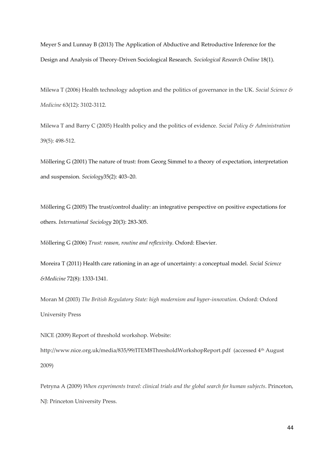Meyer S and Lunnay B (2013) The Application of Abductive and Retroductive Inference for the Design and Analysis of Theory-Driven Sociological Research. *Sociological Research Online* 18(1).

Milewa T (2006) Health technology adoption and the politics of governance in the UK. *Social Science & Medicine* 63(12): 3102-3112.

Milewa T and Barry C (2005) Health policy and the politics of evidence. *Social Policy & Administration* 39(5): 498-512.

Möllering G (2001) The nature of trust: from Georg Simmel to a theory of expectation, interpretation and suspension. *Sociology* 35(2): 403-20.

Möllering G (2005) The trust/control duality: an integrative perspective on positive expectations for others. *International Sociology* 20(3): 283-305.

Mˆllering G (2006) *Trust: reason, routine and reflexivity*. Oxford: Elsevier.

Moreira T (2011) Health care rationing in an age of uncertainty: a conceptual model. *Social Science &Medicine* 72(8): 1333-1341.

Moran M (2003) *The British Regulatory State: high modernism and hyper-innovation*. Oxford: Oxford University Press

NICE (2009) Report of threshold workshop. Website:

http://www.nice.org.uk/media/835/99/ITEM8ThresholdWorkshopReport.pdf (accessed 4th August 2009)

Petryna A (2009) When experiments travel: clinical trials and the global search for human subjects. Princeton, NJ: Princeton University Press.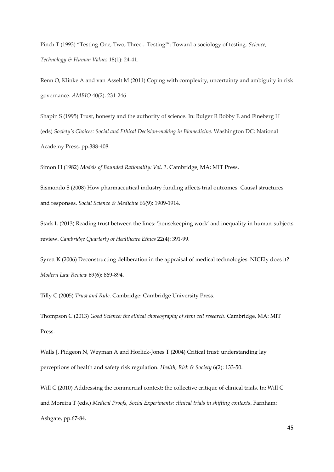Pinch T (1993) "Testing-One, Two, Three... Testing!": Toward a sociology of testing. Science, *Technology & Human Values* 18(1): 24-41.

Renn O, Klinke A and van Asselt M (2011) Coping with complexity, uncertainty and ambiguity in risk governance. *AMBIO* 40(2): 231-246

Shapin S (1995) Trust, honesty and the authority of science. In: Bulger R Bobby E and Fineberg H (eds) Society's Choices: Social and Ethical Decision-making in Biomedicine. Washington DC: National Academy Press, pp.388-408.

Simon H (1982) *Models of Bounded Rationality: Vol. 1*. Cambridge, MA: MIT Press.

Sismondo S (2008) How pharmaceutical industry funding affects trial outcomes: Causal structures and responses. *Social Science & Medicine* 66(9): 1909-1914.

Stark L (2013) Reading trust between the lines: 'housekeeping work' and inequality in human-subjects review. *Cambridge Quarterly of Healthcare Ethics* 22(4): 391-99.

Syrett K (2006) Deconstructing deliberation in the appraisal of medical technologies: NICEly does it? *Modern Law Review* 69(6): 869-894.

Tilly C (2005) *Trust and Rule*. Cambridge: Cambridge University Press.

Thompson C (2013) *Good Science: the ethical choreography of stem cell research*. Cambridge, MA: MIT Press.

Walls J, Pidgeon N, Weyman A and Horlick-Jones T (2004) Critical trust: understanding lay perceptions of health and safety risk regulation. *Health, Risk & Society* 6(2): 133-50.

Will C (2010) Addressing the commercial context: the collective critique of clinical trials. In: Will C and Moreira T (eds.) *Medical Proofs, Social Experiments: clinical trials in shifting contexts*. Farnham: Ashgate, pp.67-84.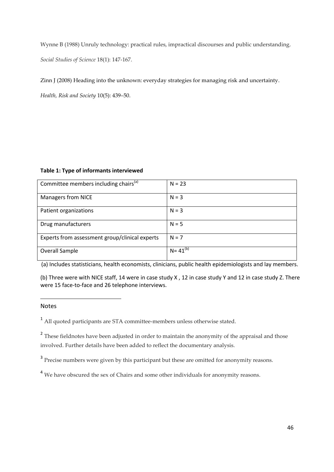Wynne B (1988) Unruly technology: practical rules, impractical discourses and public understanding. *Social Studies of Science* 18(1): 147-167.

Zinn J (2008) Heading into the unknown: everyday strategies for managing risk and uncertainty.

*Health, Risk and Society 10(5): 439-50.* 

#### **Table 1: Type of informants interviewed**

| Committee members including chairs <sup>(a)</sup> | $N = 23$       |
|---------------------------------------------------|----------------|
| <b>Managers from NICE</b>                         | $N = 3$        |
| Patient organizations                             | $N = 3$        |
| Drug manufacturers                                | $N = 5$        |
| Experts from assessment group/clinical experts    | $N = 7$        |
| <b>Overall Sample</b>                             | $N = 41^{(b)}$ |

(a) Includes statisticians, health economists, clinicians, public health epidemiologists and lay members.

(b) Three were with NICE staff, 14 were in case study X , 12 in case study Y and 12 in case study Z. There were 15 face-to-face and 26 telephone interviews.

#### Notes

<u>.</u>

<sup>1</sup> All quoted participants are STA committee-members unless otherwise stated.

<sup>2</sup> These fieldnotes have been adjusted in order to maintain the anonymity of the appraisal and those involved. Further details have been added to reflect the documentary analysis.

<sup>3</sup> Precise numbers were given by this participant but these are omitted for anonymity reasons.

<sup>4</sup> We have obscured the sex of Chairs and some other individuals for anonymity reasons.